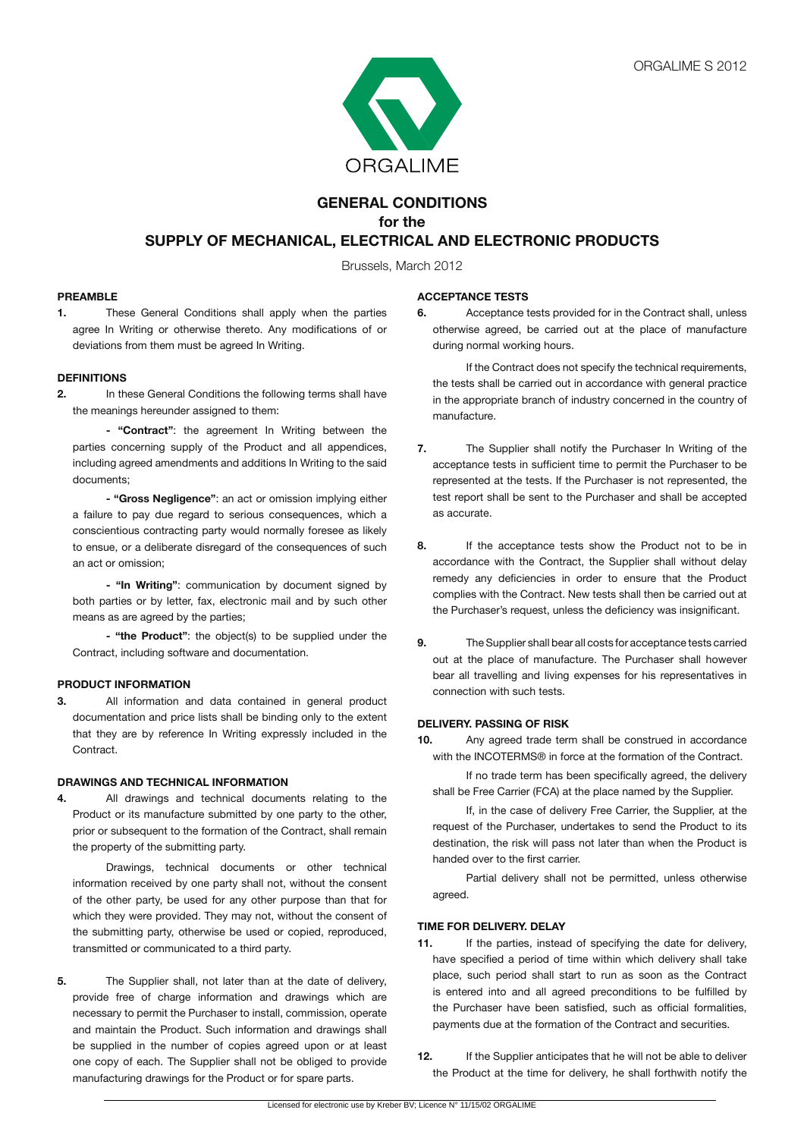

# **GENERAL CONDITIONS for the SUPPLY OF MECHANICAL, ELECTRICAL AND ELECTRONIC PRODUCTS**

Brussels, March 2012

# **PREAMBLE**

**1.** These General Conditions shall apply when the parties agree In Writing or otherwise thereto. Any modifications of or deviations from them must be agreed In Writing.

# **DEFINITIONS**

**2.** In these General Conditions the following terms shall have the meanings hereunder assigned to them:

**- "Contract"**: the agreement In Writing between the parties concerning supply of the Product and all appendices, including agreed amendments and additions In Writing to the said documents;

**- "Gross Negligence"**: an act or omission implying either a failure to pay due regard to serious consequences, which a conscientious contracting party would normally foresee as likely to ensue, or a deliberate disregard of the consequences of such an act or omission;

 **- "In Writing"**: communication by document signed by both parties or by letter, fax, electronic mail and by such other means as are agreed by the parties;

**- "the Product"**: the object(s) to be supplied under the Contract, including software and documentation.

# **PRODUCT INFORMATION**

**3.** All information and data contained in general product documentation and price lists shall be binding only to the extent that they are by reference In Writing expressly included in the Contract.

# **DRAWINGS AND TECHNICAL INFORMATION**

**4.** All drawings and technical documents relating to the Product or its manufacture submitted by one party to the other, prior or subsequent to the formation of the Contract, shall remain the property of the submitting party.

 Drawings, technical documents or other technical information received by one party shall not, without the consent of the other party, be used for any other purpose than that for which they were provided. They may not, without the consent of the submitting party, otherwise be used or copied, reproduced, transmitted or communicated to a third party.

**5.** The Supplier shall, not later than at the date of delivery, provide free of charge information and drawings which are necessary to permit the Purchaser to install, commission, operate and maintain the Product. Such information and drawings shall be supplied in the number of copies agreed upon or at least one copy of each. The Supplier shall not be obliged to provide manufacturing drawings for the Product or for spare parts.

# **ACCEPTANCE TESTS**

**6.** Acceptance tests provided for in the Contract shall, unless otherwise agreed, be carried out at the place of manufacture during normal working hours.

 If the Contract does not specify the technical requirements, the tests shall be carried out in accordance with general practice in the appropriate branch of industry concerned in the country of manufacture.

- **7.** The Supplier shall notify the Purchaser In Writing of the acceptance tests in sufficient time to permit the Purchaser to be represented at the tests. If the Purchaser is not represented, the test report shall be sent to the Purchaser and shall be accepted as accurate.
- **8.** If the acceptance tests show the Product not to be in accordance with the Contract, the Supplier shall without delay remedy any deficiencies in order to ensure that the Product complies with the Contract. New tests shall then be carried out at the Purchaser's request, unless the deficiency was insignificant.
- **9.** The Supplier shall bear all costs for acceptance tests carried out at the place of manufacture. The Purchaser shall however bear all travelling and living expenses for his representatives in connection with such tests.

# **DELIVERY. PASSING OF RISK**

**10.** Any agreed trade term shall be construed in accordance with the INCOTERMS® in force at the formation of the Contract.

 If no trade term has been specifically agreed, the delivery shall be Free Carrier (FCA) at the place named by the Supplier.

 If, in the case of delivery Free Carrier, the Supplier, at the request of the Purchaser, undertakes to send the Product to its destination, the risk will pass not later than when the Product is handed over to the first carrier.

 Partial delivery shall not be permitted, unless otherwise agreed.

# **TIME FOR DELIVERY. DELAY**

- **11.** If the parties, instead of specifying the date for delivery, have specified a period of time within which delivery shall take place, such period shall start to run as soon as the Contract is entered into and all agreed preconditions to be fulfilled by the Purchaser have been satisfied, such as official formalities, payments due at the formation of the Contract and securities.
- **12.** If the Supplier anticipates that he will not be able to deliver the Product at the time for delivery, he shall forthwith notify the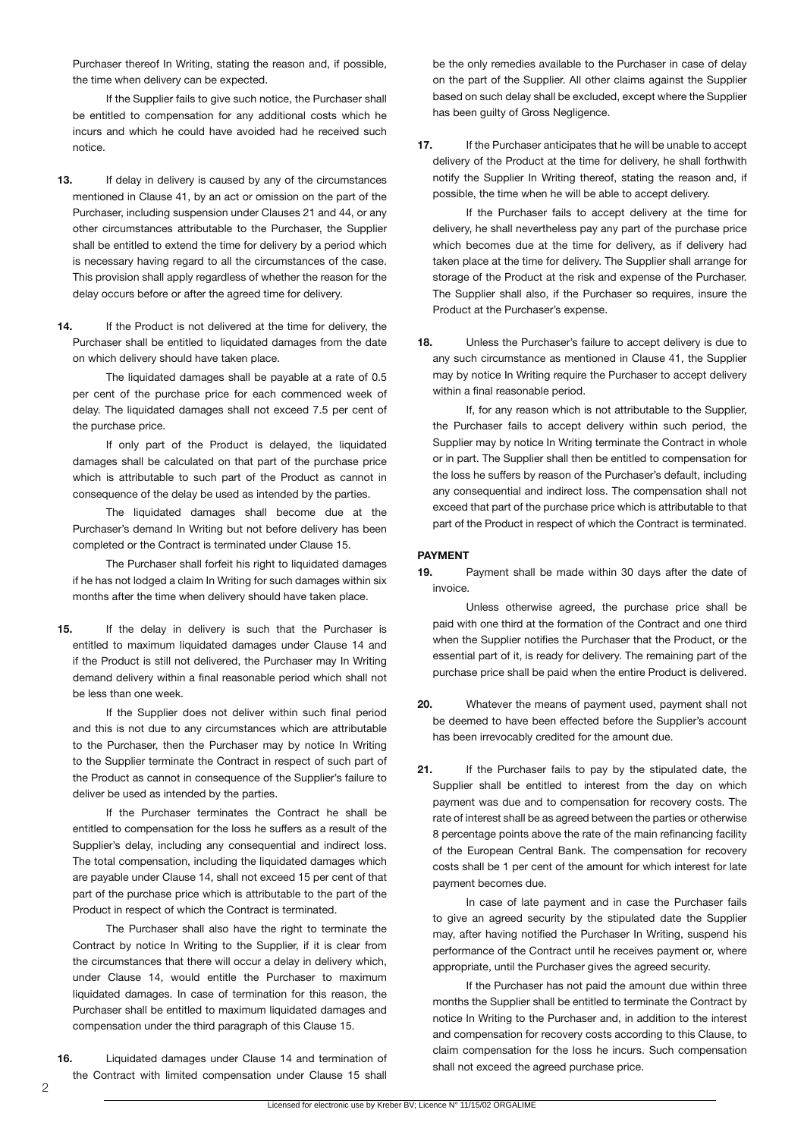Purchaser thereof In Writing, stating the reason and, if possible, the time when delivery can be expected.

 If the Supplier fails to give such notice, the Purchaser shall be entitled to compensation for any additional costs which he incurs and which he could have avoided had he received such notice.

- **13.** If delay in delivery is caused by any of the circumstances mentioned in Clause 41, by an act or omission on the part of the Purchaser, including suspension under Clauses 21 and 44, or any other circumstances attributable to the Purchaser, the Supplier shall be entitled to extend the time for delivery by a period which is necessary having regard to all the circumstances of the case. This provision shall apply regardless of whether the reason for the delay occurs before or after the agreed time for delivery.
- 14. If the Product is not delivered at the time for delivery, the Purchaser shall be entitled to liquidated damages from the date on which delivery should have taken place.

 The liquidated damages shall be payable at a rate of 0.5 per cent of the purchase price for each commenced week of delay. The liquidated damages shall not exceed 7.5 per cent of the purchase price.

 If only part of the Product is delayed, the liquidated damages shall be calculated on that part of the purchase price which is attributable to such part of the Product as cannot in consequence of the delay be used as intended by the parties.

 The liquidated damages shall become due at the Purchaser's demand In Writing but not before delivery has been completed or the Contract is terminated under Clause 15.

 The Purchaser shall forfeit his right to liquidated damages if he has not lodged a claim In Writing for such damages within six months after the time when delivery should have taken place.

**15.** If the delay in delivery is such that the Purchaser is entitled to maximum liquidated damages under Clause 14 and if the Product is still not delivered, the Purchaser may In Writing demand delivery within a final reasonable period which shall not be less than one week.

 If the Supplier does not deliver within such final period and this is not due to any circumstances which are attributable to the Purchaser, then the Purchaser may by notice In Writing to the Supplier terminate the Contract in respect of such part of the Product as cannot in consequence of the Supplier's failure to deliver be used as intended by the parties.

 If the Purchaser terminates the Contract he shall be entitled to compensation for the loss he suffers as a result of the Supplier's delay, including any consequential and indirect loss. The total compensation, including the liquidated damages which are payable under Clause 14, shall not exceed 15 per cent of that part of the purchase price which is attributable to the part of the Product in respect of which the Contract is terminated.

 The Purchaser shall also have the right to terminate the Contract by notice In Writing to the Supplier, if it is clear from the circumstances that there will occur a delay in delivery which, under Clause 14, would entitle the Purchaser to maximum liquidated damages. In case of termination for this reason, the Purchaser shall be entitled to maximum liquidated damages and compensation under the third paragraph of this Clause 15.

**16.** Liquidated damages under Clause 14 and termination of the Contract with limited compensation under Clause 15 shall

be the only remedies available to the Purchaser in case of delay on the part of the Supplier. All other claims against the Supplier based on such delay shall be excluded, except where the Supplier has been guilty of Gross Negligence.

**17.** If the Purchaser anticipates that he will be unable to accept delivery of the Product at the time for delivery, he shall forthwith notify the Supplier In Writing thereof, stating the reason and, if possible, the time when he will be able to accept delivery.

 If the Purchaser fails to accept delivery at the time for delivery, he shall nevertheless pay any part of the purchase price which becomes due at the time for delivery, as if delivery had taken place at the time for delivery. The Supplier shall arrange for storage of the Product at the risk and expense of the Purchaser. The Supplier shall also, if the Purchaser so requires, insure the Product at the Purchaser's expense.

**18.** Unless the Purchaser's failure to accept delivery is due to any such circumstance as mentioned in Clause 41, the Supplier may by notice In Writing require the Purchaser to accept delivery within a final reasonable period.

 If, for any reason which is not attributable to the Supplier, the Purchaser fails to accept delivery within such period, the Supplier may by notice In Writing terminate the Contract in whole or in part. The Supplier shall then be entitled to compensation for the loss he suffers by reason of the Purchaser's default, including any consequential and indirect loss. The compensation shall not exceed that part of the purchase price which is attributable to that part of the Product in respect of which the Contract is terminated.

# **PAYMENT**

**19.** Payment shall be made within 30 days after the date of invoice.

 Unless otherwise agreed, the purchase price shall be paid with one third at the formation of the Contract and one third when the Supplier notifies the Purchaser that the Product, or the essential part of it, is ready for delivery. The remaining part of the purchase price shall be paid when the entire Product is delivered.

- **20.** Whatever the means of payment used, payment shall not be deemed to have been effected before the Supplier's account has been irrevocably credited for the amount due.
- **21.** If the Purchaser fails to pay by the stipulated date, the Supplier shall be entitled to interest from the day on which payment was due and to compensation for recovery costs. The rate of interest shall be as agreed between the parties or otherwise 8 percentage points above the rate of the main refinancing facility of the European Central Bank. The compensation for recovery costs shall be 1 per cent of the amount for which interest for late payment becomes due.

 In case of late payment and in case the Purchaser fails to give an agreed security by the stipulated date the Supplier may, after having notified the Purchaser In Writing, suspend his performance of the Contract until he receives payment or, where appropriate, until the Purchaser gives the agreed security.

 If the Purchaser has not paid the amount due within three months the Supplier shall be entitled to terminate the Contract by notice In Writing to the Purchaser and, in addition to the interest and compensation for recovery costs according to this Clause, to claim compensation for the loss he incurs. Such compensation shall not exceed the agreed purchase price.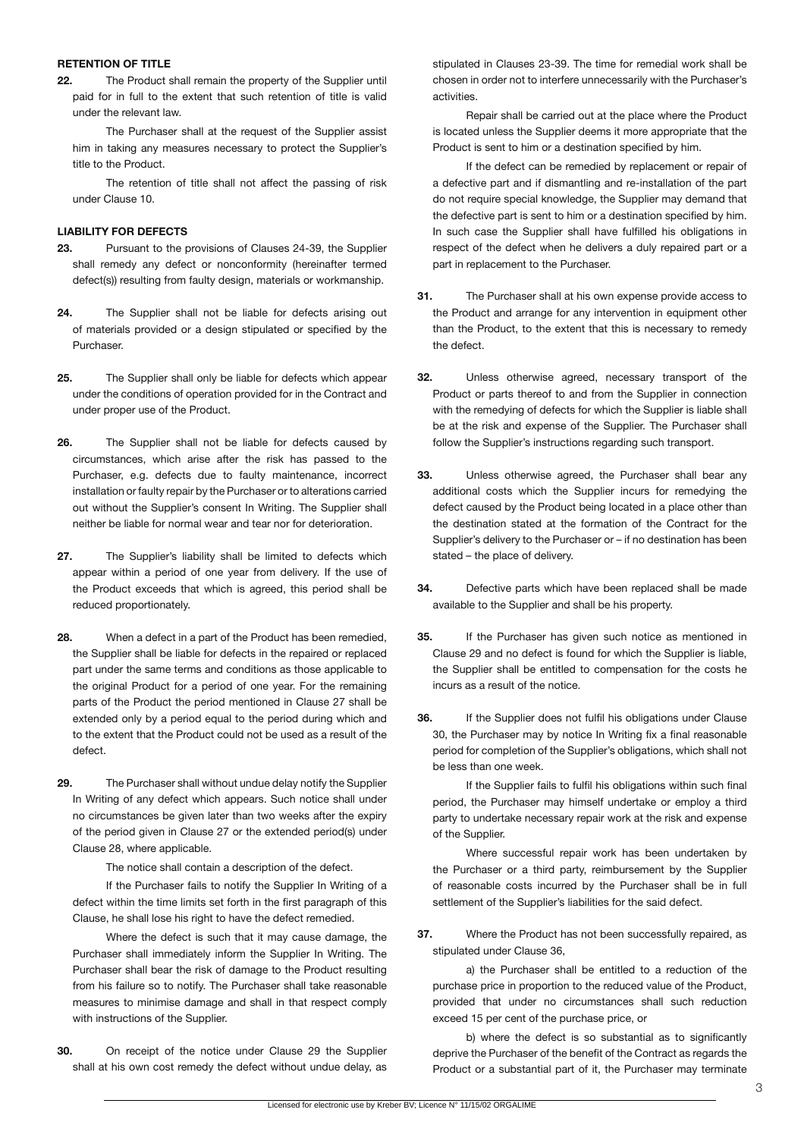#### **RETENTION OF TITLE**

**22.** The Product shall remain the property of the Supplier until paid for in full to the extent that such retention of title is valid under the relevant law.

 The Purchaser shall at the request of the Supplier assist him in taking any measures necessary to protect the Supplier's title to the Product.

 The retention of title shall not affect the passing of risk under Clause 10.

# **LIABILITY FOR DEFECTS**

- **23.** Pursuant to the provisions of Clauses 24-39, the Supplier shall remedy any defect or nonconformity (hereinafter termed defect(s)) resulting from faulty design, materials or workmanship.
- **24.** The Supplier shall not be liable for defects arising out of materials provided or a design stipulated or specified by the Purchaser.
- **25.** The Supplier shall only be liable for defects which appear under the conditions of operation provided for in the Contract and under proper use of the Product.
- **26.** The Supplier shall not be liable for defects caused by circumstances, which arise after the risk has passed to the Purchaser, e.g. defects due to faulty maintenance, incorrect installation or faulty repair by the Purchaser or to alterations carried out without the Supplier's consent In Writing. The Supplier shall neither be liable for normal wear and tear nor for deterioration.
- **27.** The Supplier's liability shall be limited to defects which appear within a period of one year from delivery. If the use of the Product exceeds that which is agreed, this period shall be reduced proportionately.
- **28.** When a defect in a part of the Product has been remedied, the Supplier shall be liable for defects in the repaired or replaced part under the same terms and conditions as those applicable to the original Product for a period of one year. For the remaining parts of the Product the period mentioned in Clause 27 shall be extended only by a period equal to the period during which and to the extent that the Product could not be used as a result of the defect.
- **29.** The Purchaser shall without undue delay notify the Supplier In Writing of any defect which appears. Such notice shall under no circumstances be given later than two weeks after the expiry of the period given in Clause 27 or the extended period(s) under Clause 28, where applicable.

 The notice shall contain a description of the defect.

 If the Purchaser fails to notify the Supplier In Writing of a defect within the time limits set forth in the first paragraph of this Clause, he shall lose his right to have the defect remedied.

 Where the defect is such that it may cause damage, the Purchaser shall immediately inform the Supplier In Writing. The Purchaser shall bear the risk of damage to the Product resulting from his failure so to notify. The Purchaser shall take reasonable measures to minimise damage and shall in that respect comply with instructions of the Supplier.

**30.** On receipt of the notice under Clause 29 the Supplier shall at his own cost remedy the defect without undue delay, as

stipulated in Clauses 23-39. The time for remedial work shall be chosen in order not to interfere unnecessarily with the Purchaser's activities.

 Repair shall be carried out at the place where the Product is located unless the Supplier deems it more appropriate that the Product is sent to him or a destination specified by him.

 If the defect can be remedied by replacement or repair of a defective part and if dismantling and re-installation of the part do not require special knowledge, the Supplier may demand that the defective part is sent to him or a destination specified by him. In such case the Supplier shall have fulfilled his obligations in respect of the defect when he delivers a duly repaired part or a part in replacement to the Purchaser.

- **31.** The Purchaser shall at his own expense provide access to the Product and arrange for any intervention in equipment other than the Product, to the extent that this is necessary to remedy the defect.
- **32.** Unless otherwise agreed, necessary transport of the Product or parts thereof to and from the Supplier in connection with the remedying of defects for which the Supplier is liable shall be at the risk and expense of the Supplier. The Purchaser shall follow the Supplier's instructions regarding such transport.
- **33.** Unless otherwise agreed, the Purchaser shall bear any additional costs which the Supplier incurs for remedying the defect caused by the Product being located in a place other than the destination stated at the formation of the Contract for the Supplier's delivery to the Purchaser or – if no destination has been stated – the place of delivery.
- **34.** Defective parts which have been replaced shall be made available to the Supplier and shall be his property.
- **35.** If the Purchaser has given such notice as mentioned in Clause 29 and no defect is found for which the Supplier is liable, the Supplier shall be entitled to compensation for the costs he incurs as a result of the notice.
- **36.** If the Supplier does not fulfil his obligations under Clause 30, the Purchaser may by notice In Writing fix a final reasonable period for completion of the Supplier's obligations, which shall not be less than one week.

 If the Supplier fails to fulfil his obligations within such final period, the Purchaser may himself undertake or employ a third party to undertake necessary repair work at the risk and expense of the Supplier.

 Where successful repair work has been undertaken by the Purchaser or a third party, reimbursement by the Supplier of reasonable costs incurred by the Purchaser shall be in full settlement of the Supplier's liabilities for the said defect.

**37.** Where the Product has not been successfully repaired, as stipulated under Clause 36,

 a) the Purchaser shall be entitled to a reduction of the purchase price in proportion to the reduced value of the Product, provided that under no circumstances shall such reduction exceed 15 per cent of the purchase price, or

b) where the defect is so substantial as to significantly deprive the Purchaser of the benefit of the Contract as regards the Product or a substantial part of it, the Purchaser may terminate